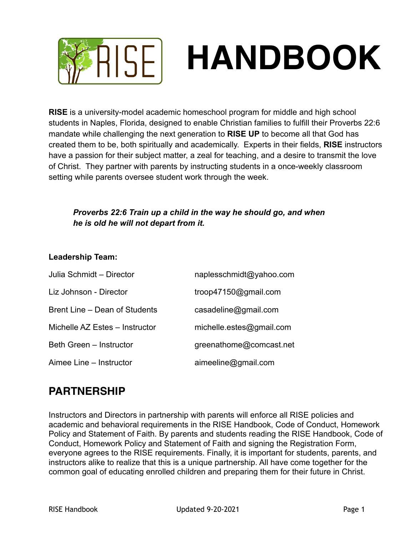

**RISE** is a university-model academic homeschool program for middle and high school students in Naples, Florida, designed to enable Christian families to fulfill their Proverbs 22:6 mandate while challenging the next generation to **RISE UP** to become all that God has created them to be, both spiritually and academically. Experts in their fields, **RISE** instructors have a passion for their subject matter, a zeal for teaching, and a desire to transmit the love of Christ. They partner with parents by instructing students in a once-weekly classroom setting while parents oversee student work through the week.

### *Proverbs 22:6 Train up a child in the way he should go, and when he is old he will not depart from it.*

#### **Leadership Team:**

| Julia Schmidt - Director       | naplesschmidt@yahoo.com  |
|--------------------------------|--------------------------|
| Liz Johnson - Director         | troop47150@gmail.com     |
| Brent Line – Dean of Students  | casadeline@gmail.com     |
| Michelle AZ Estes - Instructor | michelle.estes@gmail.com |
| Beth Green - Instructor        | greenathome@comcast.net  |
| Aimee Line - Instructor        | aimeeline@gmail.com      |

### **PARTNERSHIP**

Instructors and Directors in partnership with parents will enforce all RISE policies and academic and behavioral requirements in the RISE Handbook, Code of Conduct, Homework Policy and Statement of Faith. By parents and students reading the RISE Handbook, Code of Conduct, Homework Policy and Statement of Faith and signing the Registration Form, everyone agrees to the RISE requirements. Finally, it is important for students, parents, and instructors alike to realize that this is a unique partnership. All have come together for the common goal of educating enrolled children and preparing them for their future in Christ.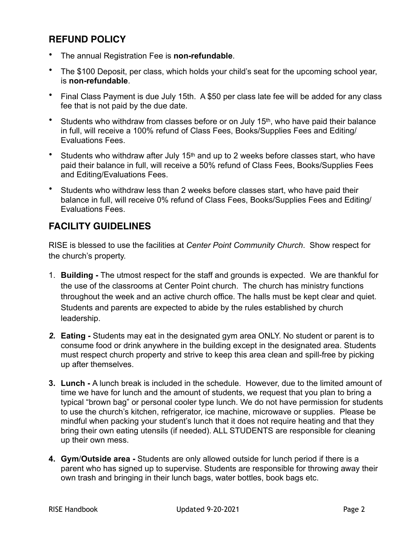### **REFUND POLICY**

- The annual Registration Fee is **non-refundable**.
- The \$100 Deposit, per class, which holds your child's seat for the upcoming school year, is **non-refundable**.
- Final Class Payment is due July 15th. A \$50 per class late fee will be added for any class fee that is not paid by the due date.
- Students who withdraw from classes before or on July 15<sup>th</sup>, who have paid their balance in full, will receive a 100% refund of Class Fees, Books/Supplies Fees and Editing/ Evaluations Fees.
- Students who withdraw after July 15<sup>th</sup> and up to 2 weeks before classes start, who have paid their balance in full, will receive a 50% refund of Class Fees, Books/Supplies Fees and Editing/Evaluations Fees.
- Students who withdraw less than 2 weeks before classes start, who have paid their balance in full, will receive 0% refund of Class Fees, Books/Supplies Fees and Editing/ Evaluations Fees.

### **FACILITY GUIDELINES**

RISE is blessed to use the facilities at *Center Point Community Church*. Show respect for the church's property.

- 1. **Building** The utmost respect for the staff and grounds is expected. We are thankful for the use of the classrooms at Center Point church. The church has ministry functions throughout the week and an active church office. The halls must be kept clear and quiet. Students and parents are expected to abide by the rules established by church leadership.
- *2.* **Eating**Students may eat in the designated gym area ONLY. No student or parent is to consume food or drink anywhere in the building except in the designated area. Students must respect church property and strive to keep this area clean and spill-free by picking up after themselves.
- **3. Lunch** A lunch break is included in the schedule. However, due to the limited amount of time we have for lunch and the amount of students, we request that you plan to bring a typical "brown bag" or personal cooler type lunch. We do not have permission for students to use the church's kitchen, refrigerator, ice machine, microwave or supplies. Please be mindful when packing your student's lunch that it does not require heating and that they bring their own eating utensils (if needed). ALL STUDENTS are responsible for cleaning up their own mess.
- **4. Gym**/**Outside area** Students are only allowed outside for lunch period if there is a parent who has signed up to supervise. Students are responsible for throwing away their own trash and bringing in their lunch bags, water bottles, book bags etc.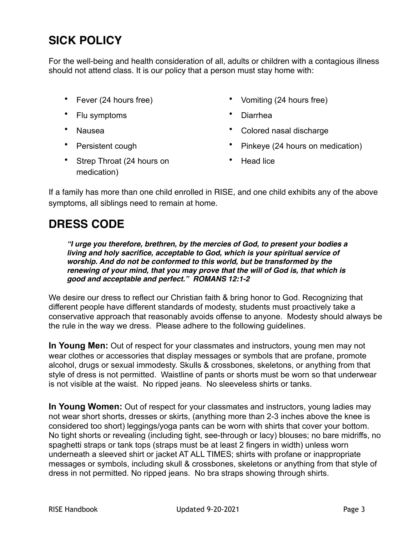# **SICK POLICY**

For the well-being and health consideration of all, adults or children with a contagious illness should not attend class. It is our policy that a person must stay home with:

- 
- Flu symptoms Diarrhea
- 
- 
- Strep Throat (24 hours on medication)
- Fever (24 hours free) Vomiting (24 hours free)
	-
	- Nausea Colored nasal discharge
	- Persistent cough **•** Pinkeye (24 hours on medication)
		- Head lice

If a family has more than one child enrolled in RISE, and one child exhibits any of the above symptoms, all siblings need to remain at home.

# **DRESS CODE**

*"I urge you therefore, brethren, by the mercies of God, to present your bodies a living and holy sacrifice, acceptable to God, which is your spiritual service of worship. And do not be conformed to this world, but be transformed by the renewing of your mind, that you may prove that the will of God is, that which is good and acceptable and perfect." ROMANS 12:1-2*

We desire our dress to reflect our Christian faith & bring honor to God. Recognizing that different people have different standards of modesty, students must proactively take a conservative approach that reasonably avoids offense to anyone. Modesty should always be the rule in the way we dress. Please adhere to the following guidelines.

**In Young Men:** Out of respect for your classmates and instructors, young men may not wear clothes or accessories that display messages or symbols that are profane, promote alcohol, drugs or sexual immodesty. Skulls & crossbones, skeletons, or anything from that style of dress is not permitted. Waistline of pants or shorts must be worn so that underwear is not visible at the waist. No ripped jeans. No sleeveless shirts or tanks.

**In Young Women:** Out of respect for your classmates and instructors, young ladies may not wear short shorts, dresses or skirts, (anything more than 2-3 inches above the knee is considered too short) leggings/yoga pants can be worn with shirts that cover your bottom. No tight shorts or revealing (including tight, see-through or lacy) blouses; no bare midriffs, no spaghetti straps or tank tops (straps must be at least 2 fingers in width) unless worn underneath a sleeved shirt or jacket AT ALL TIMES; shirts with profane or inappropriate messages or symbols, including skull & crossbones, skeletons or anything from that style of dress in not permitted. No ripped jeans. No bra straps showing through shirts.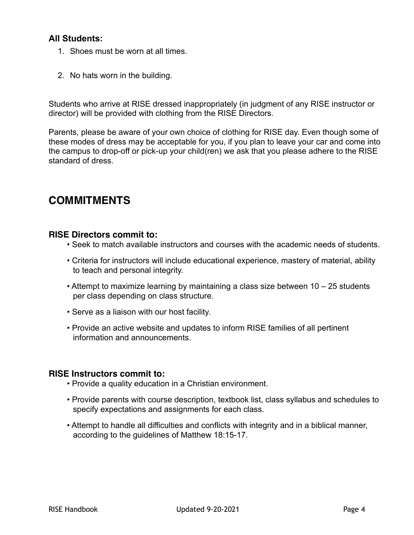### **All Students:**

- 1. Shoes must be worn at all times.
- 2. No hats worn in the building.

Students who arrive at RISE dressed inappropriately (in judgment of any RISE instructor or director) will be provided with clothing from the RISE Directors.

Parents, please be aware of your own choice of clothing for RISE day. Even though some of these modes of dress may be acceptable for you, if you plan to leave your car and come into the campus to drop-off or pick-up your child(ren) we ask that you please adhere to the RISE standard of dress.

### **COMMITMENTS**

#### **RISE Directors commit to:**

- Seek to match available instructors and courses with the academic needs of students.
- Criteria for instructors will include educational experience, mastery of material, ability to teach and personal integrity.
- Attempt to maximize learning by maintaining a class size between 10 25 students per class depending on class structure.
- Serve as a liaison with our host facility.
- Provide an active website and updates to inform RISE families of all pertinent information and announcements.

#### **RISE Instructors commit to:**

- Provide a quality education in a Christian environment.
- Provide parents with course description, textbook list, class syllabus and schedules to specify expectations and assignments for each class.
- Attempt to handle all difficulties and conflicts with integrity and in a biblical manner, according to the guidelines of Matthew 18:15-17.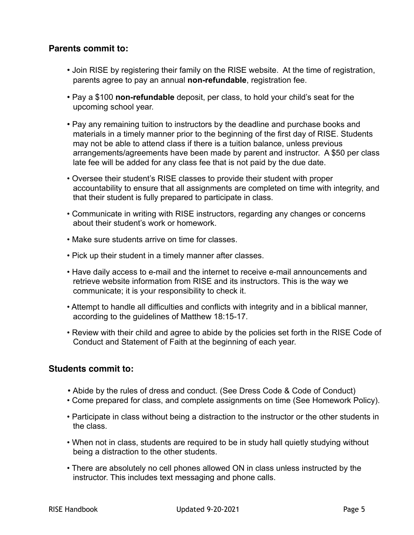### **Parents commit to:**

- Join RISE by registering their family on the RISE website. At the time of registration, parents agree to pay an annual **non-refundable**, registration fee.
- Pay a \$100 **non-refundable** deposit, per class, to hold your child's seat for the upcoming school year.
- Pay any remaining tuition to instructors by the deadline and purchase books and materials in a timely manner prior to the beginning of the first day of RISE. Students may not be able to attend class if there is a tuition balance, unless previous arrangements/agreements have been made by parent and instructor. A \$50 per class late fee will be added for any class fee that is not paid by the due date.
- Oversee their student's RISE classes to provide their student with proper accountability to ensure that all assignments are completed on time with integrity, and that their student is fully prepared to participate in class.
- Communicate in writing with RISE instructors, regarding any changes or concerns about their student's work or homework.
- Make sure students arrive on time for classes.
- Pick up their student in a timely manner after classes.
- Have daily access to e-mail and the internet to receive e-mail announcements and retrieve website information from RISE and its instructors. This is the way we communicate; it is your responsibility to check it.
- Attempt to handle all difficulties and conflicts with integrity and in a biblical manner, according to the guidelines of Matthew 18:15-17.
- Review with their child and agree to abide by the policies set forth in the RISE Code of Conduct and Statement of Faith at the beginning of each year.

### **Students commit to:**

- Abide by the rules of dress and conduct. (See Dress Code & Code of Conduct)
- Come prepared for class, and complete assignments on time (See Homework Policy).
- Participate in class without being a distraction to the instructor or the other students in the class.
- When not in class, students are required to be in study hall quietly studying without being a distraction to the other students.
- There are absolutely no cell phones allowed ON in class unless instructed by the instructor. This includes text messaging and phone calls.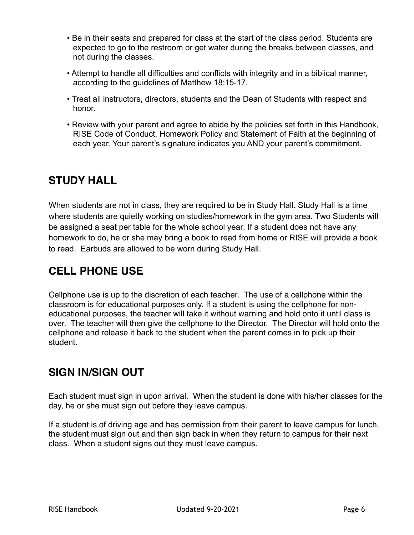- Be in their seats and prepared for class at the start of the class period. Students are expected to go to the restroom or get water during the breaks between classes, and not during the classes.
- Attempt to handle all difficulties and conflicts with integrity and in a biblical manner, according to the guidelines of Matthew 18:15-17.
- Treat all instructors, directors, students and the Dean of Students with respect and honor.
- Review with your parent and agree to abide by the policies set forth in this Handbook, RISE Code of Conduct, Homework Policy and Statement of Faith at the beginning of each year. Your parent's signature indicates you AND your parent's commitment.

# **STUDY HALL**

When students are not in class, they are required to be in Study Hall. Study Hall is a time where students are quietly working on studies/homework in the gym area. Two Students will be assigned a seat per table for the whole school year. If a student does not have any homework to do, he or she may bring a book to read from home or RISE will provide a book to read. Earbuds are allowed to be worn during Study Hall.

# **CELL PHONE USE**

Cellphone use is up to the discretion of each teacher. The use of a cellphone within the classroom is for educational purposes only. If a student is using the cellphone for noneducational purposes, the teacher will take it without warning and hold onto it until class is over. The teacher will then give the cellphone to the Director. The Director will hold onto the cellphone and release it back to the student when the parent comes in to pick up their student.

# **SIGN IN/SIGN OUT**

Each student must sign in upon arrival. When the student is done with his/her classes for the day, he or she must sign out before they leave campus.

If a student is of driving age and has permission from their parent to leave campus for lunch, the student must sign out and then sign back in when they return to campus for their next class. When a student signs out they must leave campus.